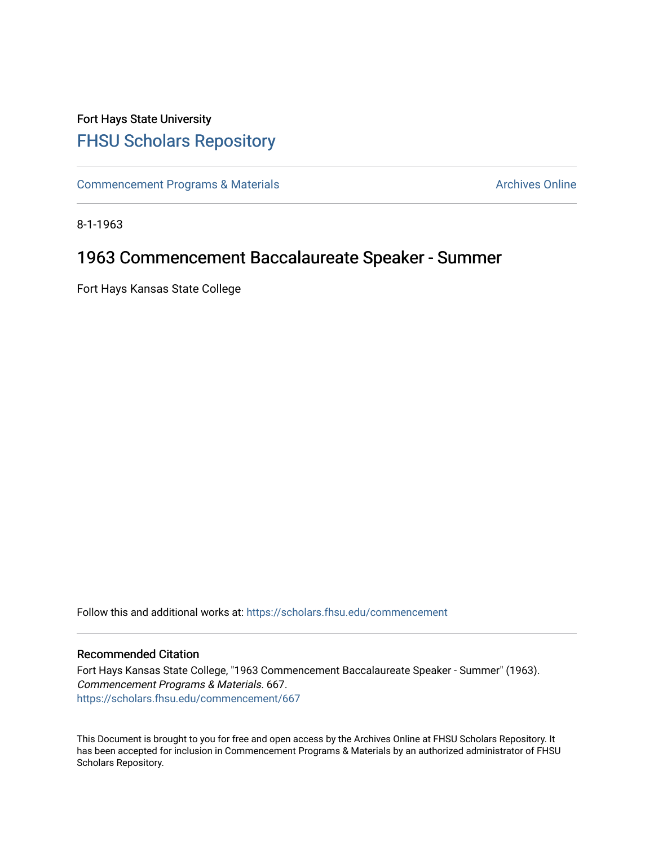## Fort Hays State University [FHSU Scholars Repository](https://scholars.fhsu.edu/)

[Commencement Programs & Materials](https://scholars.fhsu.edu/commencement) **Archives Online** Archives Online

8-1-1963

## 1963 Commencement Baccalaureate Speaker - Summer

Fort Hays Kansas State College

Follow this and additional works at: [https://scholars.fhsu.edu/commencement](https://scholars.fhsu.edu/commencement?utm_source=scholars.fhsu.edu%2Fcommencement%2F667&utm_medium=PDF&utm_campaign=PDFCoverPages)

## Recommended Citation

Fort Hays Kansas State College, "1963 Commencement Baccalaureate Speaker - Summer" (1963). Commencement Programs & Materials. 667. [https://scholars.fhsu.edu/commencement/667](https://scholars.fhsu.edu/commencement/667?utm_source=scholars.fhsu.edu%2Fcommencement%2F667&utm_medium=PDF&utm_campaign=PDFCoverPages)

This Document is brought to you for free and open access by the Archives Online at FHSU Scholars Repository. It has been accepted for inclusion in Commencement Programs & Materials by an authorized administrator of FHSU Scholars Repository.